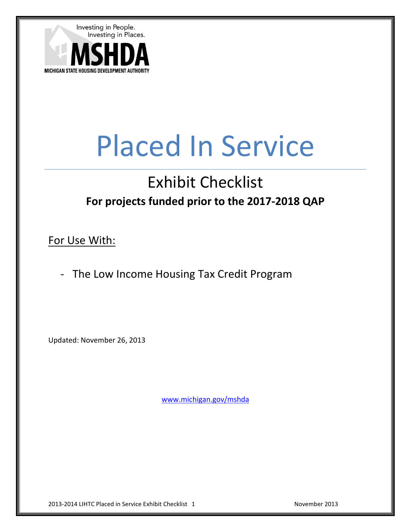

# Placed In Service

# Exhibit Checklist **For projects funded prior to the 2017-2018 QAP**

For Use With:

- The Low Income Housing Tax Credit Program

Updated: November 26, 2013

[www.michigan.gov/mshda](http://www.michigan.gov/mshda)

2013-2014 LIHTC Placed in Service Exhibit Checklist 1 November 2013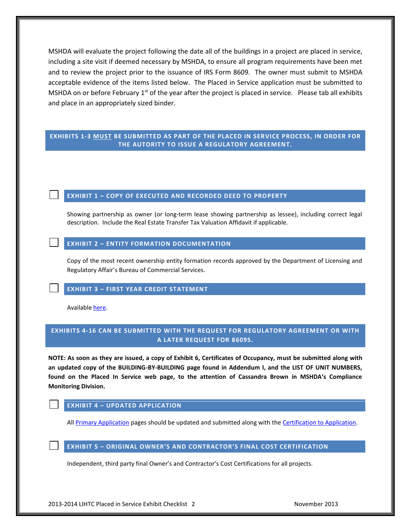MSHDA will evaluate the project following the date all of the buildings in a project are placed in service, including a site visit if deemed necessary by MSHDA, to ensure all program requirements have been met and to review the project prior to the issuance of IRS Form 8609. The owner must submit to MSHDA acceptable evidence of the items listed below. The Placed in Service application must be submitted to MSHDA on or before February  $1<sup>st</sup>$  of the year after the project is placed in service. Please tab all exhibits and place in an appropriately sized binder.

# **EXHIBITS 1-3 MUST BE SUBMITTED AS PART OF THE PLACED IN SERVICE PROCESS, IN ORDER FOR THE AUTORITY TO ISSUE A REGULATORY AGREEMENT.**

#### **EXHIBIT 1 – COPY OF EXECUTED AND RECORDED DEED TO PROPERTY**

Showing partnership as owner (or long-term lease showing partnership as lessee), including correct legal description. Include the Real Estate Transfer Tax Valuation Affidavit if applicable.

#### **EXHIBIT 2 – ENTITY FORMATION DOCUMENTATION**

Copy of the most recent ownership entity formation records approved by the Department of Licensing and Regulatory Affair's Bureau of Commercial Services.

#### **EXHIBIT 3 – FIRST YEAR CREDIT STATEMENT**

Available [here.](http://www.michigan.gov/documents/mshda/mshda_crh_f_yer08_first_yr_credit_state_187397_7.pdf)

# **EXHIBITS 4-16 CAN BE SUBMITTED WITH THE REQUEST FOR REGULATORY AGREEMENT OR WITH A LATER REQUEST FOR 8609S.**

**NOTE: As soon as they are issued, a copy of Exhibit 6, Certificates of Occupancy, must be submitted along with an updated copy of the BUILDING-BY-BUILDING page found in Addendum I, and the LIST OF UNIT NUMBERS, found on the Placed In Service web page, to the attention of Cassandra Brown in MSHDA's Compliance Monitoring Division.** 

# **EXHIBIT 4 – UPDATED APPLICATION**

Al[l Primary Application](http://www.michigan.gov/documents/mshda/mshda_li_ca_02_lihtc_program_app_392536_7.xls) pages should be updated and submitted along with the [Certification to Application.](http://www.michigan.gov/documents/mshda/mshda_li_af_d2_cert_to_app_183942_7.pdf)

#### **EXHIBIT 5 – ORIGINAL OWNER'S AND CONTRACTOR'S FINAL COST CERTIFICATION**

Independent, third party final Owner's and Contractor's Cost Certifications for all projects.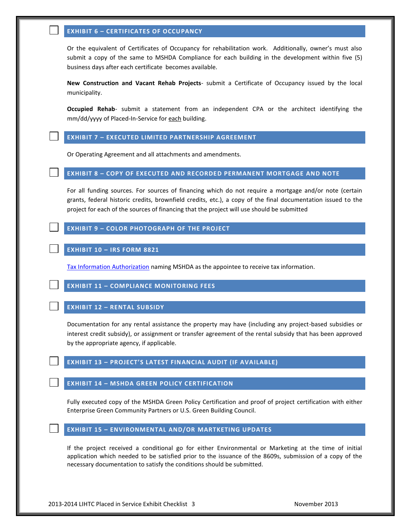### **EXHIBIT 6 – CERTIFICATES OF OCCUPANCY**

Or the equivalent of Certificates of Occupancy for rehabilitation work. Additionally, owner's must also submit a copy of the same to MSHDA Compliance for each building in the development within five (5) business days after each certificate becomes available.

**New Construction and Vacant Rehab Projects**- submit a Certificate of Occupancy issued by the local municipality.

**Occupied Rehab**- submit a statement from an independent CPA or the architect identifying the mm/dd/yyyy of Placed-In-Service for each building.

#### **EXHIBIT 7 – EXECUTED LIMITED PARTNERSHIP AGREEMENT**

Or Operating Agreement and all attachments and amendments.

#### **EXHIBIT 8 – COPY OF EXECUTED AND RECORDED PERMANENT MORTGAGE AND NOTE**

For all funding sources. For sources of financing which do not require a mortgage and/or note (certain grants, federal historic credits, brownfield credits, etc.), a copy of the final documentation issued to the project for each of the sources of financing that the project will use should be submitted

#### **EXHIBIT 9 – COLOR PHOTOGRAPH OF THE PROJECT**

#### **EXHIBIT 10 – IRS FORM 8821**

[Tax Information Authorization](http://www.michigan.gov/documents/mshda/mshda_li_af_q_irs_form_8821_204518_7.pdf) naming MSHDA as the appointee to receive tax information.

#### **EXHIBIT 11 – COMPLIANCE MONITORING FEES**

### **EXHIBIT 12 – RENTAL SUBSIDY**

Documentation for any rental assistance the property may have (including any project-based subsidies or interest credit subsidy), or assignment or transfer agreement of the rental subsidy that has been approved by the appropriate agency, if applicable.

# **EXHIBIT 13 – PROJECT'S LATEST FINANCIAL AUDIT (IF AVAILABLE)**

#### **EXHIBIT 14 – MSHDA GREEN POLICY CERTIFICATION**

Fully executed copy of the MSHDA Green Policy Certification and proof of project certification with either Enterprise Green Community Partners or U.S. Green Building Council.

# **EXHIBIT 15 – ENVIRONMENTAL AND/OR MARTKETING UPDATES**

If the project received a conditional go for either Environmental or Marketing at the time of initial application which needed to be satisfied prior to the issuance of the 8609s, submission of a copy of the necessary documentation to satisfy the conditions should be submitted.